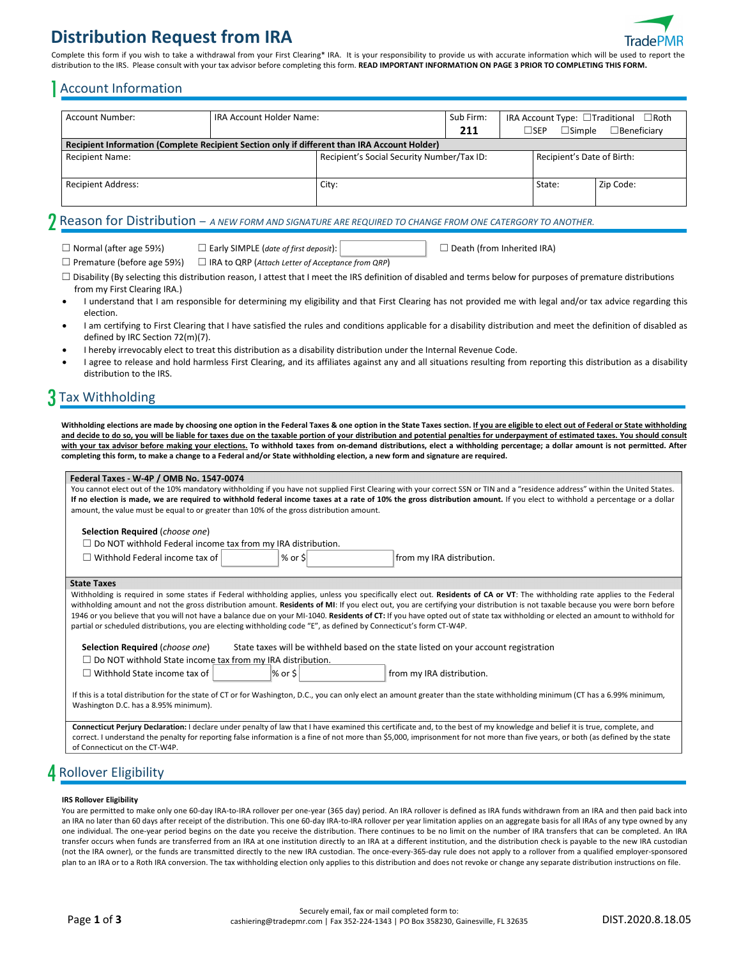# **Distribution Request from IRA**



Complete this form if you wish to take a withdrawal from your First Clearing\* IRA. It is your responsibility to provide us with accurate information which will be used to report the distribution to the IRS. Please consult with your tax advisor before completing this form. READ IMPORTANT INFORMATION ON PAGE 3 PRIOR TO COMPLETING THIS FORM.

### 1Account Information

| Account Number:                                                                              | IRA Account Holder Name: |                                            | Sub Firm:<br>211 |  | $\Box$ sep<br>$\Box$ Simple | IRA Account Type: $\Box$ Traditional $\Box$ Roth<br>$\Box$ Beneficiarv |
|----------------------------------------------------------------------------------------------|--------------------------|--------------------------------------------|------------------|--|-----------------------------|------------------------------------------------------------------------|
| Recipient Information (Complete Recipient Section only if different than IRA Account Holder) |                          |                                            |                  |  |                             |                                                                        |
| <b>Recipient Name:</b>                                                                       |                          | Recipient's Social Security Number/Tax ID: |                  |  | Recipient's Date of Birth:  |                                                                        |
| <b>Recipient Address:</b>                                                                    |                          | City:                                      |                  |  | State:                      | Zip Code:                                                              |

### 2 Reason for Distribution – *A NEW FORM AND SIGNATURE ARE REQUIRED TO CHANGE FROM ONE CATERGORY TO ANOTHER.*

☐ Normal (after age 59½) ☐ Early SIMPLE (*date of first deposit*): ☐ Death (from Inherited IRA)

☐ Premature (before age 59½) ☐ IRA to QRP (*Attach Letter of Acceptance from QRP*)

□ Disability (By selecting this distribution reason, I attest that I meet the IRS definition of disabled and terms below for purposes of premature distributions from my First Clearing IRA.)

I understand that I am responsible for determining my eligibility and that First Clearing has not provided me with legal and/or tax advice regarding this election.

- I am certifying to First Clearing that I have satisfied the rules and conditions applicable for a disability distribution and meet the definition of disabled as defined by IRC Section 72(m)(7).
- I hereby irrevocably elect to treat this distribution as a disability distribution under the Internal Revenue Code.
- I agree to release and hold harmless First Clearing, and its affiliates against any and all situations resulting from reporting this distribution as a disability distribution to the IRS.

## 3 Tax Withholding

Withholding elections are made by choosing one option in the Federal Taxes & one option in the State Taxes section. If you are eligible to elect out of Federal or State withholding **and decide to do so, you will be liable for taxes due on the taxable portion of your distribution and potential penalties for underpayment of estimated taxes. You should consult with your tax advisor before making your elections. To withhold taxes from on-demand distributions, elect a withholding percentage; a dollar amount is not permitted. After completing this form, to make a change to a Federal and/or State withholding election, a new form and signature are required.**

#### **Federal Taxes - W-4P / OMB No. 1547-0074**

You cannot elect out of the 10% mandatory withholding if you have not supplied First Clearing with your correct SSN or TIN and a "residence address" within the United States. If no election is made, we are required to withhold federal income taxes at a rate of 10% the gross distribution amount. If you elect to withhold a percentage or a dollar amount, the value must be equal to or greater than 10% of the gross distribution amount.

**Selection Required** (*choose one*)

 $\Box$  Do NOT withhold Federal income tax from my IRA distribution.

| $\Box$ Withhold Federal income tax of $\Box$ | % or \$ | from my IRA distribution. |
|----------------------------------------------|---------|---------------------------|
|                                              |         |                           |

#### **State Taxes**

Withholding is required in some states if Federal withholding applies, unless you specifically elect out. **Residents of CA or VT**: The withholding rate applies to the Federal withholding amount and not the gross distribution amount. **Residents of MI**: If you elect out, you are certifying your distribution is not taxable because you were born before 1946 or you believe that you will not have a balance due on your MI-1040. **Residents of CT:** If you have opted out of state tax withholding or elected an amount to withhold for partial or scheduled distributions, you are electing withholding code "E", as defined by Connecticut's form CT-W4P.

**Selection Required** (*choose one*) State taxes will be withheld based on the state listed on your account registration

| $\Box$ Do NOT withhold State income tax from my IRA distribution. |  |  |
|-------------------------------------------------------------------|--|--|
|                                                                   |  |  |

| $\Box$ Withhold State income tax of |  |
|-------------------------------------|--|
|                                     |  |

 $\begin{array}{c|c}\n\text{or } \text{\$} & \text{from } \text{my} \\
\text{IRA distribution.} & \text{or } \text{\$} & \text{or } \text{\$} & \text{or } \text{\$} & \text{or } \text{\$} & \text{or } \text{\$} & \text{or } \text{\$} & \text{or } \text{\$} & \text{or } \text{\$} & \text{or } \text{\$} & \text{or } \text{\$} & \text{or } \text{\$} & \text{or } \text{\$} & \text{or } \text{\$} & \text{or } \text{\$} & \text{or } \text{\$} & \text{or } \text{\$} & \text{$ 

If this is a total distribution for the state of CT or for Washington, D.C., you can only elect an amount greater than the state withholding minimum (CT has a 6.99% minimum, Washington D.C. has a 8.95% minimum).

**Connecticut Perjury Declaration:** I declare under penalty of law that I have examined this certificate and, to the best of my knowledge and belief it is true, complete, and correct. I understand the penalty for reporting false information is a fine of not more than \$5,000, imprisonment for not more than five years, or both (as defined by the state of Connecticut on the CT-W4P.

## 4 Rollover Eligibility

#### **IRS Rollover Eligibility**

You are permitted to make only one 60-day IRA-to-IRA rollover per one-year (365 day) period. An IRA rollover is defined as IRA funds withdrawn from an IRA and then paid back into an IRA no later than 60 days after receipt of the distribution. This one 60-day IRA-to-IRA rollover per year limitation applies on an aggregate basis for all IRAs of any type owned by any one individual. The one-year period begins on the date you receive the distribution. There continues to be no limit on the number of IRA transfers that can be completed. An IRA transfer occurs when funds are transferred from an IRA at one institution directly to an IRA at a different institution, and the distribution check is payable to the new IRA custodian (not the IRA owner), or the funds are transmitted directly to the new IRA custodian. The once-every-365-day rule does not apply to a rollover from a qualified employer-sponsored plan to an IRA or to a Roth IRA conversion. The tax withholding election only applies to this distribution and does not revoke or change any separate distribution instructions on file.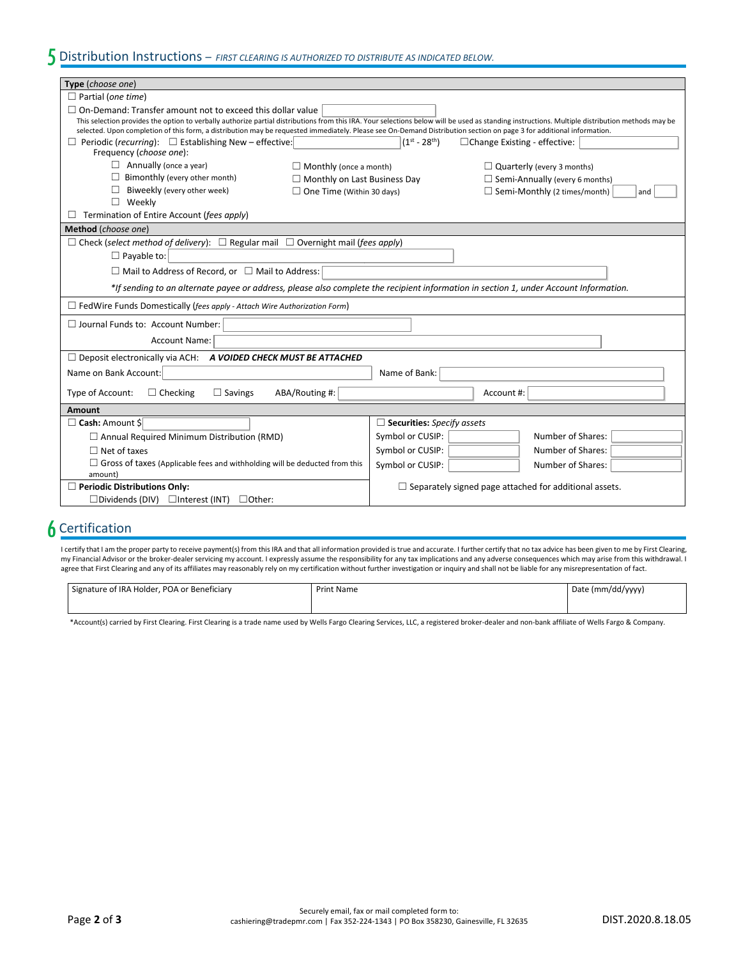| Type (choose one)                                                                                                                                                                                                                         |                                                                                                                                                                                                 |  |  |
|-------------------------------------------------------------------------------------------------------------------------------------------------------------------------------------------------------------------------------------------|-------------------------------------------------------------------------------------------------------------------------------------------------------------------------------------------------|--|--|
| $\Box$ Partial (one time)                                                                                                                                                                                                                 |                                                                                                                                                                                                 |  |  |
| $\Box$ On-Demand: Transfer amount not to exceed this dollar value<br>selected. Upon completion of this form, a distribution may be requested immediately. Please see On-Demand Distribution section on page 3 for additional information. | This selection provides the option to verbally authorize partial distributions from this IRA. Your selections below will be used as standing instructions. Multiple distribution methods may be |  |  |
| $\Box$ Periodic (recurring): $\Box$ Establishing New – effective:<br>Frequency (choose one):                                                                                                                                              | $(1^{st} - 28^{th})$<br>□ Change Existing - effective:                                                                                                                                          |  |  |
| $\Box$ Annually (once a year)<br>$\Box$ Monthly (once a month)                                                                                                                                                                            | $\Box$ Quarterly (every 3 months)                                                                                                                                                               |  |  |
| $\Box$ Bimonthly (every other month)<br>$\Box$ Monthly on Last Business Day                                                                                                                                                               | $\Box$ Semi-Annually (every 6 months)                                                                                                                                                           |  |  |
| Biweekly (every other week)<br>$\Box$ One Time (Within 30 days)                                                                                                                                                                           | $\Box$ Semi-Monthly (2 times/month)<br>and                                                                                                                                                      |  |  |
| Weekly<br>П                                                                                                                                                                                                                               |                                                                                                                                                                                                 |  |  |
| Termination of Entire Account (fees apply)                                                                                                                                                                                                |                                                                                                                                                                                                 |  |  |
| Method (choose one)                                                                                                                                                                                                                       |                                                                                                                                                                                                 |  |  |
| $\Box$ Check (select method of delivery): $\Box$ Regular mail $\Box$ Overnight mail (fees apply)                                                                                                                                          |                                                                                                                                                                                                 |  |  |
| $\Box$ Payable to:                                                                                                                                                                                                                        |                                                                                                                                                                                                 |  |  |
| $\Box$ Mail to Address of Record, or $\Box$ Mail to Address:                                                                                                                                                                              |                                                                                                                                                                                                 |  |  |
| *If sending to an alternate payee or address, please also complete the recipient information in section 1, under Account Information.                                                                                                     |                                                                                                                                                                                                 |  |  |
| $\Box$ FedWire Funds Domestically (fees apply - Attach Wire Authorization Form)                                                                                                                                                           |                                                                                                                                                                                                 |  |  |
| $\Box$ Journal Funds to: Account Number:                                                                                                                                                                                                  |                                                                                                                                                                                                 |  |  |
| <b>Account Name:</b>                                                                                                                                                                                                                      |                                                                                                                                                                                                 |  |  |
| $\Box$ Deposit electronically via ACH: A VOIDED CHECK MUST BE ATTACHED                                                                                                                                                                    |                                                                                                                                                                                                 |  |  |
| Name on Bank Account:                                                                                                                                                                                                                     | Name of Bank:                                                                                                                                                                                   |  |  |
| Type of Account:<br>ABA/Routing #:<br>$\Box$ Checking<br>$\Box$ Savings                                                                                                                                                                   | Account #:                                                                                                                                                                                      |  |  |
| Amount                                                                                                                                                                                                                                    |                                                                                                                                                                                                 |  |  |
| $\Box$ Cash: Amount \$                                                                                                                                                                                                                    | $\Box$ Securities: Specify assets                                                                                                                                                               |  |  |
| $\Box$ Annual Required Minimum Distribution (RMD)                                                                                                                                                                                         | Number of Shares:<br>Symbol or CUSIP:                                                                                                                                                           |  |  |
| $\Box$ Net of taxes                                                                                                                                                                                                                       | Number of Shares:<br>Symbol or CUSIP:                                                                                                                                                           |  |  |
| $\Box$ Gross of taxes (Applicable fees and withholding will be deducted from this<br>amount)                                                                                                                                              | Symbol or CUSIP:<br>Number of Shares:                                                                                                                                                           |  |  |
| $\Box$ Periodic Distributions Only:                                                                                                                                                                                                       | $\Box$ Separately signed page attached for additional assets.                                                                                                                                   |  |  |
| $\Box$ Other:<br>$\square$ Dividends (DIV)<br>$\Box$ Interest (INT)                                                                                                                                                                       |                                                                                                                                                                                                 |  |  |

### **6** Certification

I certify that I am the proper party to receive payment(s) from this IRA and that all information provided is true and accurate. I further certify that no tax advice has been given to me by First Clearing, my Financial Advisor or the broker-dealer servicing my account. I expressly assume the responsibility for any tax implications and any adverse consequences which may arise from this withdrawal. I agree that First Clearing and any of its affiliates may reasonably rely on my certification without further investigation or inquiry and shall not be liable for any misrepresentation of fact.

| Signature of IRA Holder, POA or Beneficiary | <b>Print Name</b> | Date (mm/dd/yyyy) |  |
|---------------------------------------------|-------------------|-------------------|--|
|                                             |                   |                   |  |

\*Account(s) carried by First Clearing. First Clearing is a trade name used by Wells Fargo Clearing Services, LLC, a registered broker-dealer and non-bank affiliate of Wells Fargo & Company.